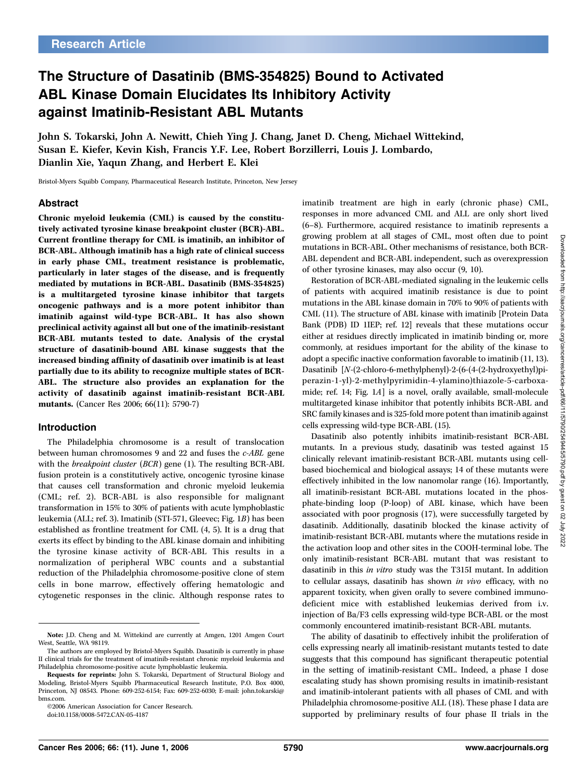# The Structure of Dasatinib (BMS-354825) Bound to Activated ABL Kinase Domain Elucidates Its Inhibitory Activity against Imatinib-Resistant ABL Mutants

John S. Tokarski, John A. Newitt, Chieh Ying J. Chang, Janet D. Cheng, Michael Wittekind, Susan E. Kiefer, Kevin Kish, Francis Y.F. Lee, Robert Borzillerri, Louis J. Lombardo, Dianlin Xie, Yaqun Zhang, and Herbert E. Klei

Bristol-Myers Squibb Company, Pharmaceutical Research Institute, Princeton, New Jersey

#### Abstract

Chronic myeloid leukemia (CML) is caused by the constitutively activated tyrosine kinase breakpoint cluster (BCR)-ABL. Current frontline therapy for CML is imatinib, an inhibitor of BCR-ABL. Although imatinib has a high rate of clinical success in early phase CML, treatment resistance is problematic, particularly in later stages of the disease, and is frequently mediated by mutations in BCR-ABL. Dasatinib (BMS-354825) is a multitargeted tyrosine kinase inhibitor that targets oncogenic pathways and is a more potent inhibitor than imatinib against wild-type BCR-ABL. It has also shown preclinical activity against all but one of the imatinib-resistant BCR-ABL mutants tested to date. Analysis of the crystal structure of dasatinib-bound ABL kinase suggests that the increased bindingaffinity of dasatinib over imatinib is at least partially due to its ability to recognize multiple states of BCR-ABL. The structure also provides an explanation for the activity of dasatinib against imatinib-resistant BCR-ABL mutants. (Cancer Res 2006; 66(11): 5790-7)

#### Introduction

The Philadelphia chromosome is a result of translocation between human chromosomes 9 and 22 and fuses the c-ABL gene with the *breakpoint cluster* (*BCR*) gene (1). The resulting BCR-ABL fusion protein is a constitutively active, oncogenic tyrosine kinase that causes cell transformation and chronic myeloid leukemia (CML; ref. 2). BCR-ABL is also responsible for malignant transformation in 15% to 30% of patients with acute lymphoblastic leukemia (ALL; ref. 3). Imatinib (STI-571, Gleevec; Fig. 1B) has been established as frontline treatment for CML (4, 5). It is a drug that exerts its effect by binding to the ABL kinase domain and inhibiting the tyrosine kinase activity of BCR-ABL This results in a normalization of peripheral WBC counts and a substantial reduction of the Philadelphia chromosome-positive clone of stem cells in bone marrow, effectively offering hematologic and cytogenetic responses in the clinic. Although response rates to

©2006 American Association for Cancer Research.

imatinib treatment are high in early (chronic phase) CML, responses in more advanced CML and ALL are only short lived (6–8). Furthermore, acquired resistance to imatinib represents a growing problem at all stages of CML, most often due to point mutations in BCR-ABL. Other mechanisms of resistance, both BCR-ABL dependent and BCR-ABL independent, such as overexpression of other tyrosine kinases, may also occur (9, 10).

Restoration of BCR-ABL-mediated signaling in the leukemic cells of patients with acquired imatinib resistance is due to point mutations in the ABL kinase domain in 70% to 90% of patients with CML (11). The structure of ABL kinase with imatinib [Protein Data Bank (PDB) ID 1IEP; ref. 12] reveals that these mutations occur either at residues directly implicated in imatinib binding or, more commonly, at residues important for the ability of the kinase to adopt a specific inactive conformation favorable to imatinib (11, 13). Dasatinib [N-(2-chloro-6-methylphenyl)-2-(6-(4-(2-hydroxyethyl)piperazin-1-yl)-2-methylpyrimidin-4-ylamino)thiazole-5-carboxamide; ref. 14; Fig. 1A] is a novel, orally available, small-molecule multitargeted kinase inhibitor that potently inhibits BCR-ABL and SRC family kinases and is 325-fold more potent than imatinib against cells expressing wild-type BCR-ABL (15).

Dasatinib also potently inhibits imatinib-resistant BCR-ABL mutants. In a previous study, dasatinib was tested against 15 clinically relevant imatinib-resistant BCR-ABL mutants using cellbased biochemical and biological assays; 14 of these mutants were effectively inhibited in the low nanomolar range (16). Importantly, all imatinib-resistant BCR-ABL mutations located in the phosphate-binding loop (P-loop) of ABL kinase, which have been associated with poor prognosis (17), were successfully targeted by dasatinib. Additionally, dasatinib blocked the kinase activity of imatinib-resistant BCR-ABL mutants where the mutations reside in the activation loop and other sites in the COOH-terminal lobe. The only imatinib-resistant BCR-ABL mutant that was resistant to dasatinib in this in vitro study was the T315I mutant. In addition to cellular assays, dasatinib has shown in vivo efficacy, with no apparent toxicity, when given orally to severe combined immunodeficient mice with established leukemias derived from i.v. injection of Ba/F3 cells expressing wild-type BCR-ABL or the most commonly encountered imatinib-resistant BCR-ABL mutants.

The ability of dasatinib to effectively inhibit the proliferation of cells expressing nearly all imatinib-resistant mutants tested to date suggests that this compound has significant therapeutic potential in the setting of imatinib-resistant CML. Indeed, a phase I dose escalating study has shown promising results in imatinib-resistant and imatinib-intolerant patients with all phases of CML and with Philadelphia chromosome-positive ALL (18). These phase I data are supported by preliminary results of four phase II trials in the

Note: J.D. Cheng and M. Wittekind are currently at Amgen, 1201 Amgen Court West, Seattle, WA 98119.

The authors are employed by Bristol-Myers Squibb. Dasatinib is currently in phase II clinical trials for the treatment of imatinib-resistant chronic myeloid leukemia and Philadelphia chromosome-positive acute lymphoblastic leukemia.

Requests for reprints: John S. Tokarski, Department of Structural Biology and Modeling, Bristol-Myers Squibb Pharmaceutical Research Institute, P.O. Box 4000, Princeton, NJ 08543. Phone: 609-252-6154; Fax: 609-252-6030; E-mail: john.tokarski@ bms.com.

doi:10.1158/0008-5472.CAN-05-4187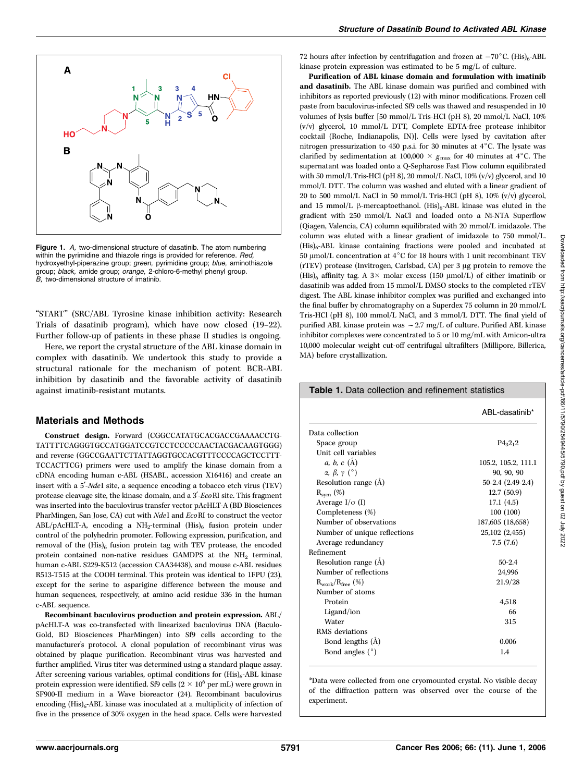

Figure 1. A, two-dimensional structure of dasatinib. The atom numbering within the pyrimidine and thiazole rings is provided for reference. Red, hydroxyethyl-piperazine group; green, pyrimidine group; blue, aminothiazole group; *black,* amide group; *orange,* 2-chloro-6-methyl phenyl group.<br>*B,* two-dimensional structure of imatinib.

''START'' (SRC/ABL Tyrosine kinase inhibition activity: Research Trials of dasatinib program), which have now closed (19–22). Further follow-up of patients in these phase II studies is ongoing.

Here, we report the crystal structure of the ABL kinase domain in complex with dasatinib. We undertook this study to provide a structural rationale for the mechanism of potent BCR-ABL inhibition by dasatinib and the favorable activity of dasatinib against imatinib-resistant mutants.

## Materials and Methods

Construct design. Forward (CGGCCATATGCACGACCGAAAACCTG-TATTTTCAGGGTGCCATGGATCCGTCCTCCCCCAACTACGACAAGTGGG) and reverse (GGCCGAATTCTTATTAGGTGCCACGTTTCCCCAGCTCCTTT-TCCACTTCG) primers were used to amplify the kinase domain from a cDNA encoding human c-ABL (HSABL, accession X16416) and create an insert with a 5'-NdeI site, a sequence encoding a tobacco etch virus (TEV) protease cleavage site, the kinase domain, and a  $3'-EcoRI$  site. This fragment was inserted into the baculovirus transfer vector pAcHLT-A (BD Biosciences PharMingen, San Jose, CA) cut with NdeI and EcoRI to construct the vector ABL/pAcHLT-A, encoding a  $NH_2$ -terminal  $(His)_6$  fusion protein under control of the polyhedrin promoter. Following expression, purification, and removal of the  $(His)_{6}$  fusion protein tag with TEV protease, the encoded protein contained non-native residues GAMDPS at the  $NH<sub>2</sub>$  terminal, human c-ABL S229-K512 (accession CAA34438), and mouse c-ABL residues R513-T515 at the COOH terminal. This protein was identical to 1FPU (23), except for the serine to asparigine difference between the mouse and human sequences, respectively, at amino acid residue 336 in the human c-ABL sequence.

Recombinant baculovirus production and protein expression. ABL/ pAcHLT-A was co-transfected with linearized baculovirus DNA (Baculo-Gold, BD Biosciences PharMingen) into Sf9 cells according to the manufacturer's protocol. A clonal population of recombinant virus was obtained by plaque purification. Recombinant virus was harvested and further amplified. Virus titer was determined using a standard plaque assay. After screening various variables, optimal conditions for  $(His)_{6}$ -ABL kinase protein expression were identified. Sf9 cells ( $2 \times 10^6$  per mL) were grown in SF900-II medium in a Wave bioreactor (24). Recombinant baculovirus encoding  $(His)_{6}$ -ABL kinase was inoculated at a multiplicity of infection of five in the presence of 30% oxygen in the head space. Cells were harvested

72 hours after infection by centrifugation and frozen at  $-70^{\circ}$ C. (His)<sub>6</sub>-ABL kinase protein expression was estimated to be 5 mg/L of culture.

Purification of ABL kinase domain and formulation with imatinib and dasatinib. The ABL kinase domain was purified and combined with inhibitors as reported previously (12) with minor modifications. Frozen cell paste from baculovirus-infected Sf9 cells was thawed and resuspended in 10 volumes of lysis buffer [50mmol/L Tris-HCl (pH 8), 20mmol/L NaCl, 10% (v/v) glycerol, 10mmol/L DTT, Complete EDTA-free protease inhibitor cocktail (Roche, Indianapolis, IN)]. Cells were lysed by cavitation after nitrogen pressurization to 450 p.s.i. for 30 minutes at  $4^{\circ}$ C. The lysate was clarified by sedimentation at 100,000  $\times$   $g_{\text{max}}$  for 40 minutes at 4°C. The supernatant was loaded onto a Q-Sepharose Fast Flow column equilibrated with 50 mmol/L Tris-HCl (pH 8), 20 mmol/L NaCl,  $10\%$  (v/v) glycerol, and 10 mmol/L DTT. The column was washed and eluted with a linear gradient of 20 to 500 mmol/L NaCl in 50 mmol/L Tris-HCl (pH 8),  $10\%$  (v/v) glycerol, and 15 mmol/L  $\beta$ -mercaptoethanol. (His)<sub>6</sub>-ABL kinase was eluted in the gradient with 250mmol/L NaCl and loaded onto a Ni-NTA Superflow (Qiagen, Valencia, CA) column equilibrated with 20mmol/L imidazole. The column was eluted with a linear gradient of imidazole to 750mmol/L. (His)6-ABL kinase containing fractions were pooled and incubated at 50  $\mu$ mol/L concentration at 4°C for 18 hours with 1 unit recombinant TEV (rTEV) protease (Invitrogen, Carlsbad, CA) per 3 µg protein to remove the (His)<sub>6</sub> affinity tag. A 3 $\times$  molar excess (150  $\mu$ mol/L) of either imatinib or dasatinib was added from 15 mmol/L DMSO stocks to the completed rTEV digest. The ABL kinase inhibitor complex was purified and exchanged into the final buffer by chromatography on a Superdex 75 column in 20mmol/L Tris-HCl (pH 8), 100 mmol/L NaCl, and 3 mmol/L DTT. The final yield of purified ABL kinase protein was  $\sim$  2.7 mg/L of culture. Purified ABL kinase inhibitor complexes were concentrated to 5 or 10mg/mL with Amicon-ultra 10,000 molecular weight cut-off centrifugal ultrafilters (Millipore, Billerica, MA) before crystallization.

|                                   | ABL-dasatinib*      |
|-----------------------------------|---------------------|
| Data collection                   |                     |
| Space group                       | $P_{32_12}$         |
| Unit cell variables               |                     |
| $a, b, c$ (A)                     | 105.2, 105.2, 111.1 |
| $\alpha$ , $\beta$ , $\gamma$ (°) | 90, 90, 90          |
| Resolution range $(A)$            | 50-2.4 (2.49-2.4)   |
| $R_{sym}$ (%)                     | 12.7(50.9)          |
| Average $I/\sigma$ (I)            | 17.1(4.5)           |
| Completeness (%)                  | 100(100)            |
| Number of observations            | 187,605 (18,658)    |
| Number of unique reflections      | 25,102 (2,455)      |
| Average redundancy                | 7.5(7.6)            |
| <b>Refinement</b>                 |                     |
| Resolution range (A)              | $50 - 2.4$          |
| Number of reflections             | 24,996              |
| $R_{work}/R_{free}$ (%)           | 21.9/28             |
| Number of atoms                   |                     |
| Protein                           | 4,518               |
| Ligand/ion                        | 66                  |
| Water                             | 315                 |
| RMS deviations                    |                     |
| Bond lengths (Å)                  | 0.006               |
| Bond angles $(°)$                 | 1.4                 |

Table 1. Data collection and refinement statistics

\*Data were collected from one cryomounted crystal. No visible decay of the diffraction pattern was observed over the course of the experiment.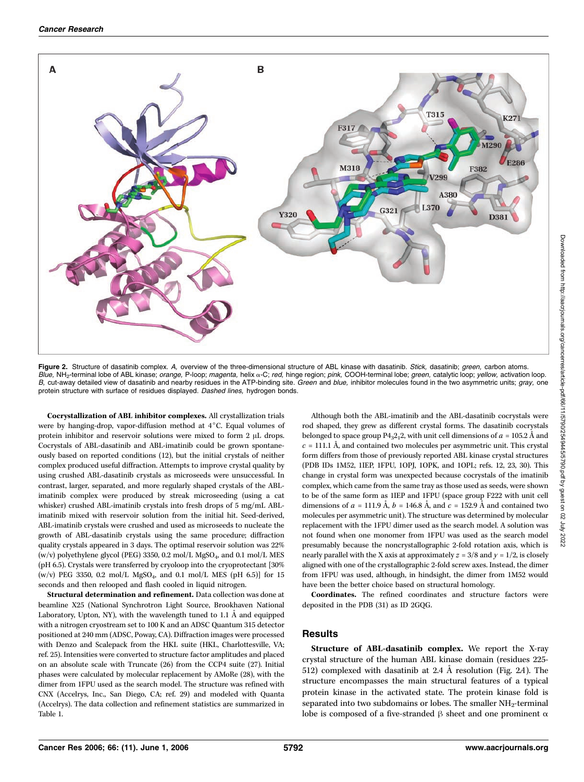

Figure 2. Structure of dasatinib complex. A, overview of the three-dimensional structure of ABL kinase with dasatinib. Stick, dasatinib; green, carbon atoms. Blue, NH<sub>2</sub>-terminal lobe of ABL kinase; orange, P-loop; magenta, helix a-C; red, hinge region; pink, COOH-terminal lobe; green, catalytic loop; yellow, activation loop. B, cut-away detailed view of dasatinib and nearby residues in the ATP-binding site. Green and blue, inhibitor molecules found in the two asymmetric units; gray, one protein structure with surface of residues displayed. Dashed lines, hydrogen bonds.

Cocrystallization of ABL inhibitor complexes. All crystallization trials were by hanging-drop, vapor-diffusion method at  $4^{\circ}$ C. Equal volumes of protein inhibitor and reservoir solutions were mixed to form  $2 \mu L$  drops. Cocrystals of ABL-dasatinib and ABL-imatinib could be grown spontaneously based on reported conditions (12), but the initial crystals of neither complex produced useful diffraction. Attempts to improve crystal quality by using crushed ABL-dasatinib crystals as microseeds were unsuccessful. In contrast, larger, separated, and more regularly shaped crystals of the ABLimatinib complex were produced by streak microseeding (using a cat whisker) crushed ABL-imatinib crystals into fresh drops of 5 mg/mL ABLimatinib mixed with reservoir solution from the initial hit. Seed-derived, ABL-imatinib crystals were crushed and used as microseeds to nucleate the growth of ABL-dasatinib crystals using the same procedure; diffraction quality crystals appeared in 3 days. The optimal reservoir solution was 22% (w/v) polyethylene glycol (PEG) 3350, 0.2 mol/L MgSO<sub>4</sub>, and 0.1 mol/L MES (pH 6.5). Crystals were transferred by cryoloop into the cryoprotectant [30% (w/v) PEG 3350, 0.2 mol/L MgSO<sub>4</sub>, and 0.1 mol/L MES (pH 6.5)] for 15 seconds and then relooped and flash cooled in liquid nitrogen.

Structural determination and refinement. Data collection was done at beamline X25 (National Synchrotron Light Source, Brookhaven National Laboratory, Upton, NY), with the wavelength tuned to 1.1  $\AA$  and equipped with a nitrogen cryostream set to 100 K and an ADSC Quantum 315 detector positioned at 240mm (ADSC, Poway, CA). Diffraction images were processed with Denzo and Scalepack from the HKL suite (HKL, Charlottesville, VA; ref. 25). Intensities were converted to structure factor amplitudes and placed on an absolute scale with Truncate (26) from the CCP4 suite (27). Initial phases were calculated by molecular replacement by AMoRe (28), with the dimer from 1FPU used as the search model. The structure was refined with CNX (Accelrys, Inc., San Diego, CA; ref. 29) and modeled with Quanta (Accelrys). The data collection and refinement statistics are summarized in Table 1.

Although both the ABL-imatinib and the ABL-dasatinib cocrystals were rod shaped, they grew as different crystal forms. The dasatinib cocrystals belonged to space group  $P4_32_12$ , with unit cell dimensions of  $a = 105.2 \text{ Å}$  and  $c = 111.1$  Å, and contained two molecules per asymmetric unit. This crystal form differs from those of previously reported ABL kinase crystal structures (PDB IDs 1M52, 1IEP, 1FPU, 1OPJ, 1OPK, and 1OPL; refs. 12, 23, 30). This change in crystal form was unexpected because cocrystals of the imatinib complex, which came from the same tray as those used as seeds, were shown to be of the same form as 1IEP and 1FPU (space group F222 with unit cell dimensions of  $a = 111.9 \text{ Å}$ ,  $b = 146.8 \text{ Å}$ , and  $c = 152.9 \text{ Å}$  and contained two molecules per asymmetric unit). The structure was determined by molecular replacement with the 1FPU dimer used as the search model. A solution was not found when one monomer from 1FPU was used as the search model presumably because the noncrystallographic 2-fold rotation axis, which is nearly parallel with the X axis at approximately  $z = 3/8$  and  $y = 1/2$ , is closely aligned with one of the crystallographic 2-fold screw axes. Instead, the dimer from 1FPU was used, although, in hindsight, the dimer from 1M52 would have been the better choice based on structural homology.

Coordinates. The refined coordinates and structure factors were deposited in the PDB (31) as ID 2GQG.

### Results

Structure of ABL-dasatinib complex. We report the X-ray crystal structure of the human ABL kinase domain (residues 225- 512) complexed with dasatinib at 2.4 Å resolution (Fig. 2A). The structure encompasses the main structural features of a typical protein kinase in the activated state. The protein kinase fold is separated into two subdomains or lobes. The smaller NH<sub>2</sub>-terminal lobe is composed of a five-stranded  $\beta$  sheet and one prominent  $\alpha$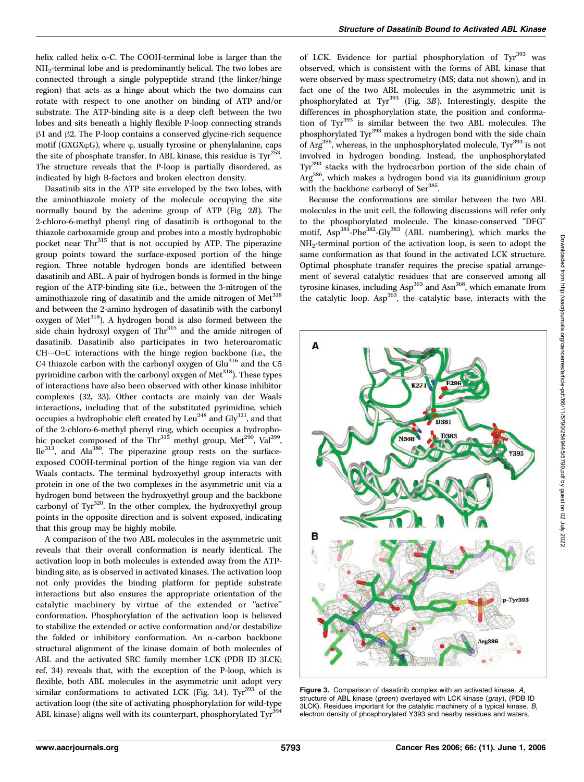helix called helix  $\alpha$ -C. The COOH-terminal lobe is larger than the NH2-terminal lobe and is predominantly helical. The two lobes are connected through a single polypeptide strand (the linker/hinge region) that acts as a hinge about which the two domains can rotate with respect to one another on binding of ATP and/or substrate. The ATP-binding site is a deep cleft between the two lobes and sits beneath a highly flexible P-loop connecting strands  $\beta$ 1 and  $\beta$ 2. The P-loop contains a conserved glycine-rich sequence motif (GXGX $\phi$ G), where  $\phi$ , usually tyrosine or phenylalanine, caps the site of phosphate transfer. In ABL kinase, this residue is  $\text{Ty}^{2\bar{5}3}$ . The structure reveals that the P-loop is partially disordered, as indicated by high B-factors and broken electron density.

Dasatinib sits in the ATP site enveloped by the two lobes, with the aminothiazole moiety of the molecule occupying the site normally bound by the adenine group of ATP (Fig. 2B). The 2-chloro-6-methyl phenyl ring of dasatinib is orthogonal to the thiazole carboxamide group and probes into a mostly hydrophobic pocket near Thr<sup>315</sup> that is not occupied by ATP. The piperazine group points toward the surface-exposed portion of the hinge region. Three notable hydrogen bonds are identified between dasatinib and ABL. A pair of hydrogen bonds is formed in the hinge region of the ATP-binding site (i.e., between the 3-nitrogen of the aminothiazole ring of dasatinib and the amide nitrogen of Met<sup>318</sup> and between the 2-amino hydrogen of dasatinib with the carbonyl oxygen of Met<sup>318</sup>). A hydrogen bond is also formed between the side chain hydroxyl oxygen of  $Thr<sup>315</sup>$  and the amide nitrogen of dasatinib. Dasatinib also participates in two heteroaromatic  $CH \cdots O-C$  interactions with the hinge region backbone (i.e., the C4 thiazole carbon with the carbonyl oxygen of Glu<sup>316</sup> and the C5 pyrimidine carbon with the carbonyl oxygen of Met<sup>318</sup>). These types of interactions have also been observed with other kinase inhibitor complexes (32, 33). Other contacts are mainly van der Waals interactions, including that of the substituted pyrimidine, which occupies a hydrophobic cleft created by Leu<sup>248</sup> and Gly<sup>321</sup>, and that of the 2-chloro-6-methyl phenyl ring, which occupies a hydrophobic pocket composed of the Thr<sup>315</sup> methyl group, Met<sup>290</sup>, Val<sup>299</sup>,  $I_0^{313}$ , and Ala<sup>380</sup>. The piperazine group rests on the surfaceexposed COOH-terminal portion of the hinge region via van der Waals contacts. The terminal hydroxyethyl group interacts with protein in one of the two complexes in the asymmetric unit via a hydrogen bond between the hydroxyethyl group and the backbone carbonyl of Tyr<sup>320</sup>. In the other complex, the hydroxyethyl group points in the opposite direction and is solvent exposed, indicating that this group may be highly mobile.

A comparison of the two ABL molecules in the asymmetric unit reveals that their overall conformation is nearly identical. The activation loop in both molecules is extended away from the ATPbinding site, as is observed in activated kinases. The activation loop not only provides the binding platform for peptide substrate interactions but also ensures the appropriate orientation of the catalytic machinery by virtue of the extended or ''active'' conformation. Phosphorylation of the activation loop is believed to stabilize the extended or active conformation and/or destabilize the folded or inhibitory conformation. An  $\alpha$ -carbon backbone structural alignment of the kinase domain of both molecules of ABL and the activated SRC family member LCK (PDB ID 3LCK; ref. 34) reveals that, with the exception of the P-loop, which is flexible, both ABL molecules in the asymmetric unit adopt very similar conformations to activated LCK (Fig. 3A). Tyr<sup>393</sup> of the activation loop (the site of activating phosphorylation for wild-type ABL kinase) aligns well with its counterpart, phosphorylated  $\text{Ty}^{394}$ 

of LCK. Evidence for partial phosphorylation of  $\text{Tr}^{393}$  was observed, which is consistent with the forms of ABL kinase that were observed by mass spectrometry (MS; data not shown), and in fact one of the two ABL molecules in the asymmetric unit is phosphorylated at Tyr<sup>393</sup> (Fig. 3B). Interestingly, despite the differences in phosphorylation state, the position and conformation of Tyr<sup>393</sup> is similar between the two ABL molecules. The phosphorylated Tyr<sup>393</sup> makes a hydrogen bond with the side chain of  $\text{Arg}^{386}$ , whereas, in the unphosphorylated molecule,  $\text{Ty}^{393}$  is not involved in hydrogen bonding. Instead, the unphosphorylated Tyr<sup>393</sup> stacks with the hydrocarbon portion of the side chain of Arg386, which makes a hydrogen bond via its guanidinium group with the backbone carbonyl of Ser<sup>385</sup>.

Because the conformations are similar between the two ABL molecules in the unit cell, the following discussions will refer only to the phosphorylated molecule. The kinase-conserved ''DFG'' motif,  $\text{Asp}^{381}$ -Phe<sup>382</sup>-Gly<sup>383</sup> (ABL numbering), which marks the NH2-terminal portion of the activation loop, is seen to adopt the same conformation as that found in the activated LCK structure. Optimal phosphate transfer requires the precise spatial arrangement of several catalytic residues that are conserved among all tyrosine kinases, including Asp<sup>363</sup> and Asn<sup>368</sup>, which emanate from the catalytic loop. Asp<sup>363</sup>, the catalytic base, interacts with the



Figure 3. Comparison of dasatinib complex with an activated kinase. A structure of ABL kinase (green) overlayed with LCK kinase (gray), (PDB ID 3LCK). Residues important for the catalytic machinery of a typical kinase. B, electron density of phosphorylated Y393 and nearby residues and waters.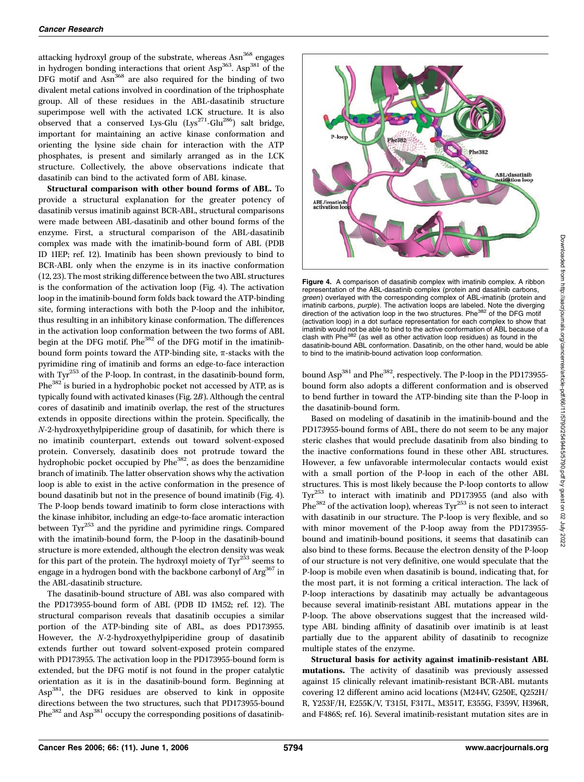attacking hydroxyl group of the substrate, whereas Asn<sup>368</sup> engages in hydrogen bonding interactions that orient Asp<sup>363</sup>. Asp<sup>381</sup> of the DFG motif and Asn<sup>368</sup> are also required for the binding of two divalent metal cations involved in coordination of the triphosphate group. All of these residues in the ABL-dasatinib structure superimpose well with the activated LCK structure. It is also observed that a conserved Lys-Glu  $(Lys^{271}-Glu^{286})$  salt bridge, important for maintaining an active kinase conformation and orienting the lysine side chain for interaction with the ATP phosphates, is present and similarly arranged as in the LCK structure. Collectively, the above observations indicate that dasatinib can bind to the activated form of ABL kinase.

Structural comparison with other bound forms of ABL. To provide a structural explanation for the greater potency of dasatinib versus imatinib against BCR-ABL, structural comparisons were made between ABL-dasatinib and other bound forms of the enzyme. First, a structural comparison of the ABL-dasatinib complex was made with the imatinib-bound form of ABL (PDB ID 1IEP; ref. 12). Imatinib has been shown previously to bind to BCR-ABL only when the enzyme is in its inactive conformation (12, 23). The most striking difference between the two ABL structures is the conformation of the activation loop (Fig. 4). The activation loop in the imatinib-bound form folds back toward the ATP-binding site, forming interactions with both the P-loop and the inhibitor, thus resulting in an inhibitory kinase conformation. The differences in the activation loop conformation between the two forms of ABL begin at the DFG motif. Phe<sup>382</sup> of the DFG motif in the imatinibbound form points toward the ATP-binding site,  $\pi$ -stacks with the pyrimidine ring of imatinib and forms an edge-to-face interaction with Tyr<sup>253</sup> of the P-loop. In contrast, in the dasatinib-bound form, Phe<sup>382</sup> is buried in a hydrophobic pocket not accessed by ATP, as is typically found with activated kinases (Fig. 2B). Although the central cores of dasatinib and imatinib overlap, the rest of the structures extends in opposite directions within the protein. Specifically, the N-2-hydroxyethylpiperidine group of dasatinib, for which there is no imatinib counterpart, extends out toward solvent-exposed protein. Conversely, dasatinib does not protrude toward the hydrophobic pocket occupied by Phe<sup>382</sup>, as does the benzamidine branch of imatinib. The latter observation shows why the activation loop is able to exist in the active conformation in the presence of bound dasatinib but not in the presence of bound imatinib (Fig. 4). The P-loop bends toward imatinib to form close interactions with the kinase inhibitor, including an edge-to-face aromatic interaction between Tyr<sup>253</sup> and the pyridine and pyrimidine rings. Compared with the imatinib-bound form, the P-loop in the dasatinib-bound structure is more extended, although the electron density was weak for this part of the protein. The hydroxyl moiety of  $\text{Ty}^{253}$  seems to engage in a hydrogen bond with the backbone carbonyl of Arg<sup>367</sup> in the ABL-dasatinib structure.

The dasatinib-bound structure of ABL was also compared with the PD173955-bound form of ABL (PDB ID 1M52; ref. 12). The structural comparison reveals that dasatinib occupies a similar portion of the ATP-binding site of ABL, as does PD173955. However, the N-2-hydroxyethylpiperidine group of dasatinib extends further out toward solvent-exposed protein compared with PD173955. The activation loop in the PD173955-bound form is extended, but the DFG motif is not found in the proper catalytic orientation as it is in the dasatinib-bound form. Beginning at Asp381, the DFG residues are observed to kink in opposite directions between the two structures, such that PD173955-bound Phe<sup>382</sup> and Asp<sup>381</sup> occupy the corresponding positions of dasatinib-



Figure 4. A comparison of dasatinib complex with imatinib complex. A ribbon representation of the ABL-dasatinib complex (protein and dasatinib carbons, *green*) overlayed with the corresponding complex of ABL-imatinib (protein and<br>imatinib carbons, *purple*). The activation loops are labeled. Note the diverging direction of the activation loop in the two structures. Phe<sup>382</sup> of the DFG motif (activation loop) in a dot surface representation for each complex to show that imatinib would not be able to bind to the active conformation of ABL because of a clash with Phe<sup>382</sup> (as well as other activation loop residues) as found in the dasatinib-bound ABL conformation. Dasatinib, on the other hand, would be able to bind to the imatinib-bound activation loop conformation.

bound Asp<sup>381</sup> and Phe<sup>382</sup>, respectively. The P-loop in the PD173955bound form also adopts a different conformation and is observed to bend further in toward the ATP-binding site than the P-loop in the dasatinib-bound form.

Based on modeling of dasatinib in the imatinib-bound and the PD173955-bound forms of ABL, there do not seem to be any major steric clashes that would preclude dasatinib from also binding to the inactive conformations found in these other ABL structures. However, a few unfavorable intermolecular contacts would exist with a small portion of the P-loop in each of the other ABL structures. This is most likely because the P-loop contorts to allow Tyr<sup>253</sup> to interact with imatinib and PD173955 (and also with Phe<sup>382</sup> of the activation loop), whereas Tyr<sup>253</sup> is not seen to interact with dasatinib in our structure. The P-loop is very flexible, and so with minor movement of the P-loop away from the PD173955 bound and imatinib-bound positions, it seems that dasatinib can also bind to these forms. Because the electron density of the P-loop of our structure is not very definitive, one would speculate that the P-loop is mobile even when dasatinib is bound, indicating that, for the most part, it is not forming a critical interaction. The lack of P-loop interactions by dasatinib may actually be advantageous because several imatinib-resistant ABL mutations appear in the P-loop. The above observations suggest that the increased wildtype ABL binding affinity of dasatinib over imatinib is at least partially due to the apparent ability of dasatinib to recognize multiple states of the enzyme.

Structural basis for activity against imatinib-resistant ABL mutations. The activity of dasatinib was previously assessed against 15 clinically relevant imatinib-resistant BCR-ABL mutants covering 12 different amino acid locations (M244V, G250E, Q252H/ R, Y253F/H, E255K/V, T315I, F317L, M351T, E355G, F359V, H396R, and F486S; ref. 16). Several imatinib-resistant mutation sites are in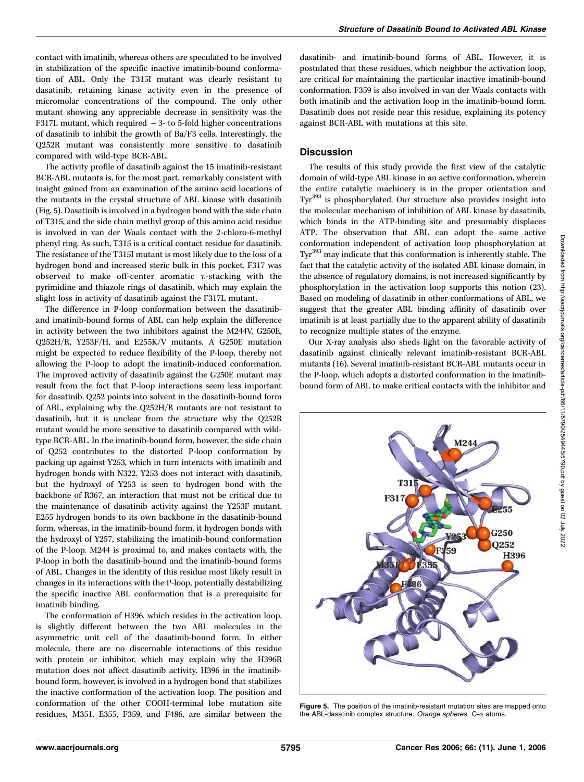contact with imatinib, whereas others are speculated to be involved in stabilization of the specific inactive imatinib-bound conformation of ABL. Only the T315I mutant was clearly resistant to dasatinib, retaining kinase activity even in the presence of micromolar concentrations of the compound. The only other mutant showing any appreciable decrease in sensitivity was the F317L mutant, which required  $\sim$  3- to 5-fold higher concentrations of dasatinib to inhibit the growth of Ba/F3 cells. Interestingly, the Q252R mutant was consistently more sensitive to dasatinib compared with wild-type BCR-ABL.

The activity profile of dasatinib against the 15 imatinib-resistant BCR-ABL mutants is, for the most part, remarkably consistent with insight gained from an examination of the amino acid locations of the mutants in the crystal structure of ABL kinase with dasatinib (Fig. 5). Dasatinib is involved in a hydrogen bond with the side chain of T315, and the side chain methyl group of this amino acid residue is involved in van der Waals contact with the 2-chloro-6-methyl phenyl ring. As such, T315 is a critical contact residue for dasatinib. The resistance of the T315I mutant is most likely due to the loss of a hydrogen bond and increased steric bulk in this pocket. F317 was observed to make off-center aromatic  $\pi$ -stacking with the pyrimidine and thiazole rings of dasatinib, which may explain the slight loss in activity of dasatinib against the F317L mutant.

The difference in P-loop conformation between the dasatiniband imatinib-bound forms of ABL can help explain the difference in activity between the two inhibitors against the M244V, G250E, Q252H/R, Y253F/H, and E255K/V mutants. A G250E mutation might be expected to reduce flexibility of the P-loop, thereby not allowing the P-loop to adopt the imatinib-induced conformation. The improved activity of dasatinib against the G250E mutant may result from the fact that P-loop interactions seem less important for dasatinib. Q252 points into solvent in the dasatinib-bound form of ABL, explaining why the Q252H/R mutants are not resistant to dasatinib, but it is unclear from the structure why the Q252R mutant would be more sensitive to dasatinib compared with wildtype BCR-ABL. In the imatinib-bound form, however, the side chain of Q252 contributes to the distorted P-loop conformation by packing up against Y253, which in turn interacts with imatinib and hydrogen bonds with N322. Y253 does not interact with dasatinib, but the hydroxyl of Y253 is seen to hydrogen bond with the backbone of R367, an interaction that must not be critical due to the maintenance of dasatinib activity against the Y253F mutant. E255 hydrogen bonds to its own backbone in the dasatinib-bound form, whereas, in the imatinib-bound form, it hydrogen bonds with the hydroxyl of Y257, stabilizing the imatinib-bound conformation of the P-loop. M244 is proximal to, and makes contacts with, the P-loop in both the dasatinib-bound and the imatinib-bound forms of ABL. Changes in the identity of this residue most likely result in changes in its interactions with the P-loop, potentially destabilizing the specific inactive ABL conformation that is a prerequisite for imatinib binding.

The conformation of H396, which resides in the activation loop, is slightly different between the two ABL molecules in the asymmetric unit cell of the dasatinib-bound form. In either molecule, there are no discernable interactions of this residue with protein or inhibitor, which may explain why the H396R mutation does not affect dasatinib activity. H396 in the imatinibbound form, however, is involved in a hydrogen bond that stabilizes the inactive conformation of the activation loop. The position and conformation of the other COOH-terminal lobe mutation site residues, M351, E355, F359, and F486, are similar between the

dasatinib- and imatinib-bound forms of ABL. However, it is postulated that these residues, which neighbor the activation loop, are critical for maintaining the particular inactive imatinib-bound conformation. F359 is also involved in van der Waals contacts with both imatinib and the activation loop in the imatinib-bound form. Dasatinib does not reside near this residue, explaining its potency against BCR-ABL with mutations at this site.

# **Discussion**

The results of this study provide the first view of the catalytic domain of wild-type ABL kinase in an active conformation, wherein the entire catalytic machinery is in the proper orientation and Tyr<sup>393</sup> is phosphorylated. Our structure also provides insight into the molecular mechanism of inhibition of ABL kinase by dasatinib, which binds in the ATP-binding site and presumably displaces ATP. The observation that ABL can adopt the same active conformation independent of activation loop phosphorylation at Tyr<sup>393</sup> may indicate that this conformation is inherently stable. The fact that the catalytic activity of the isolated ABL kinase domain, in the absence of regulatory domains, is not increased significantly by phosphorylation in the activation loop supports this notion (23). Based on modeling of dasatinib in other conformations of ABL, we suggest that the greater ABL binding affinity of dasatinib over imatinib is at least partially due to the apparent ability of dasatinib to recognize multiple states of the enzyme.

Our X-ray analysis also sheds light on the favorable activity of dasatinib against clinically relevant imatinib-resistant BCR-ABL mutants (16). Several imatinib-resistant BCR-ABL mutants occur in the P-loop, which adopts a distorted conformation in the imatinibbound form of ABL to make critical contacts with the inhibitor and



Figure 5. The position of the imatinib-resistant mutation sites are mapped onto the ABL-dasatinib complex structure. Orange spheres,  $C$ - $\alpha$  atoms.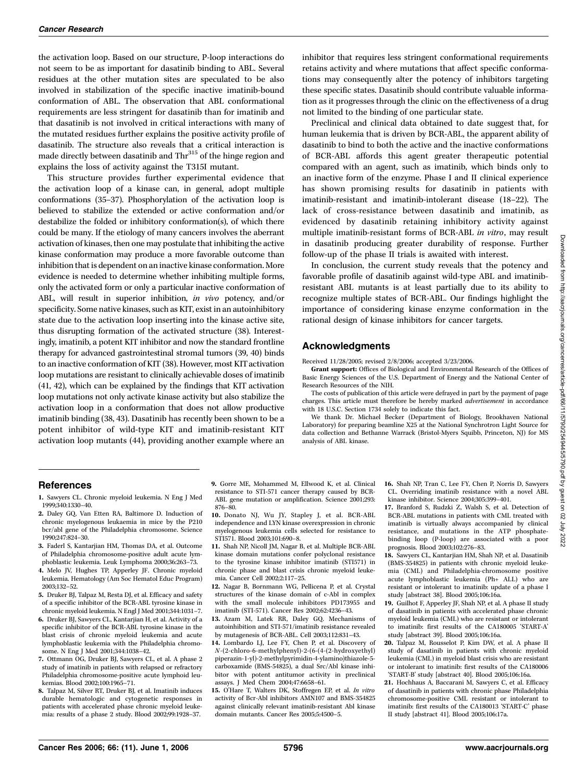the activation loop. Based on our structure, P-loop interactions do not seem to be as important for dasatinib binding to ABL. Several residues at the other mutation sites are speculated to be also involved in stabilization of the specific inactive imatinib-bound conformation of ABL. The observation that ABL conformational requirements are less stringent for dasatinib than for imatinib and that dasatinib is not involved in critical interactions with many of the mutated residues further explains the positive activity profile of dasatinib. The structure also reveals that a critical interaction is made directly between dasatinib and Thr<sup>315</sup> of the hinge region and explains the loss of activity against the T315I mutant.

This structure provides further experimental evidence that the activation loop of a kinase can, in general, adopt multiple conformations (35–37). Phosphorylation of the activation loop is believed to stabilize the extended or active conformation and/or destabilize the folded or inhibitory conformation(s), of which there could be many. If the etiology of many cancers involves the aberrant activation of kinases, then one may postulate that inhibiting the active kinase conformation may produce a more favorable outcome than inhibition that is dependent on an inactive kinase conformation. More evidence is needed to determine whether inhibiting multiple forms, only the activated form or only a particular inactive conformation of ABL, will result in superior inhibition, in vivo potency, and/or specificity. Some native kinases, such as KIT, exist in an autoinhibitory state due to the activation loop inserting into the kinase active site, thus disrupting formation of the activated structure (38). Interestingly, imatinib, a potent KIT inhibitor and now the standard frontline therapy for advanced gastrointestinal stromal tumors (39, 40) binds to an inactive conformation of KIT (38). However, most KIT activation loop mutations are resistant to clinically achievable doses of imatinib (41, 42), which can be explained by the findings that KIT activation loop mutations not only activate kinase activity but also stabilize the activation loop in a conformation that does not allow productive imatinib binding (38, 43). Dasatinib has recently been shown to be a potent inhibitor of wild-type KIT and imatinib-resistant KIT activation loop mutants (44), providing another example where an inhibitor that requires less stringent conformational requirements retains activity and where mutations that affect specific conformations may consequently alter the potency of inhibitors targeting these specific states. Dasatinib should contribute valuable information as it progresses through the clinic on the effectiveness of a drug not limited to the binding of one particular state.

Preclinical and clinical data obtained to date suggest that, for human leukemia that is driven by BCR-ABL, the apparent ability of dasatinib to bind to both the active and the inactive conformations of BCR-ABL affords this agent greater therapeutic potential compared with an agent, such as imatinib, which binds only to an inactive form of the enzyme. Phase I and II clinical experience has shown promising results for dasatinib in patients with imatinib-resistant and imatinib-intolerant disease (18–22). The lack of cross-resistance between dasatinib and imatinib, as evidenced by dasatinib retaining inhibitory activity against multiple imatinib-resistant forms of BCR-ABL in vitro, may result in dasatinib producing greater durability of response. Further follow-up of the phase II trials is awaited with interest.

In conclusion, the current study reveals that the potency and favorable profile of dasatinib against wild-type ABL and imatinibresistant ABL mutants is at least partially due to its ability to recognize multiple states of BCR-ABL. Our findings highlight the importance of considering kinase enzyme conformation in the rational design of kinase inhibitors for cancer targets.

#### Acknowledgments

Received 11/28/2005; revised 2/8/2006; accepted 3/23/2006.

Grant support: Offices of Biological and Environmental Research of the Offices of Basic Energy Sciences of the U.S. Department of Energy and the National Center of Research Resources of the NIH.

The costs of publication of this article were defrayed in part by the payment of page charges. This article must therefore be hereby marked advertisement in accordance with 18 U.S.C. Section 1734 solely to indicate this fact.

We thank Dr. Michael Becker (Department of Biology, Brookhaven National Laboratory) for preparing beamline X25 at the National Synchrotron Light Source for data collection and Bethanne Warrack (Bristol-Myers Squibb, Princeton, NJ) for MS analysis of ABL kinase.

### **References**

- 1. Sawyers CL. Chronic myeloid leukemia. N Eng J Med 1999;340:1330–40.
- 2. Daley GQ, Van Etten RA, Baltimore D. Induction of chronic myelogenous leukaemia in mice by the P210 bcr/abl gene of the Philadelphia chromosome. Science 1990;247:824–30.
- 3. Faderl S, Kantarjian HM, Thomas DA, et al. Outcome of Philadelphia chromosome-positive adult acute lymphoblastic leukemia. Leuk Lymphoma 2000;36:263–73.
- 4. Melo JV, Hughes TP, Apperley JF. Chronic myeloid leukemia. Hematology (Am Soc Hematol Educ Program) 2003;132–52.
- 5. Druker BJ, Talpaz M, Resta DJ, et al. Efficacy and safety of a specific inhibitor of the BCR-ABL tyrosine kinase in chronic myeloid leukemia. N Engl J Med 2001;344:1031–7.
- 6. Druker BJ, Sawyers CL, Kantarjian H, et al. Activity of a specific inhibitor of the BCR-ABL tyrosine kinase in the blast crisis of chronic myeloid leukemia and acute lymphoblastic leukemia with the Philadelphia chromosome. N Eng J Med 2001;344:1038–42.
- 7. Ottmann OG, Druker BJ, Sawyers CL, et al. A phase 2 study of imatinib in patients with relapsed or refractory Philadelphia chromosome-positive acute lymphoid leukemias. Blood 2002;100:1965–71.
- 8. Talpaz M, Silver RT, Druker BJ, et al. Imatinib induces durable hematologic and cytogenetic responses in patients with accelerated phase chronic myeloid leukemia: results of a phase 2 study. Blood 2002;99:1928–37.
- 9. Gorre ME, Mohammed M, Ellwood K, et al. Clinical resistance to STI-571 cancer therapy caused by BCR-ABL gene mutation or amplification. Science 2001;293: 876–80.
- 10. Donato NJ, Wu JY, Stapley J, et al. BCR-ABL independence and LYN kinase overexpression in chronic myelogenous leukemia cells selected for resistance to STI571. Blood 2003;101:690–8.
- 11. Shah NP, Nicoll JM, Nagar B, et al. Multiple BCR-ABL kinase domain mutations confer polyclonal resistance to the tyrosine kinase inhibitor imatinib (STI571) in chronic phase and blast crisis chronic myeloid leukemia. Cancer Cell 2002;2:117–25.
- 12. Nagar B, Bornmann WG, Pellicena P, et al. Crystal structures of the kinase domain of c-Abl in complex with the small molecule inhibitors PD173955 and imatinib (STI-571). Cancer Res 2002;62:4236–43.
- 13. Azam M, Latek RR, Daley GQ. Mechanisms of autoinhibition and STI-571/imatinib resistance revealed by mutagenesis of BCR-ABL. Cell 2003;112:831–43.
- 14. Lombardo LJ, Lee FY, Chen P, et al. Discovery of N-(2-chloro-6-methylphenyl)-2-(6-(4-(2-hydroxyethyl) piperazin-1-yl)-2-methylpyrimidin-4-ylamino)thiazole-5 carboxamide (BMS-54825), a dual Src/Abl kinase inhibitor with potent antitumor activity in preclinical assays. J Med Chem 2004;47:6658–61.
- 15. O'Hare T, Walters DK, Stoffregen EP, et al. In vitro activity of Bcr-Abl inhibitors AMN107 and BMS-354825 against clinically relevant imatinib-resistant Abl kinase domain mutants. Cancer Res 2005;5:4500–5.

16. Shah NP, Tran C, Lee FY, Chen P, Norris D, Sawyers CL. Overriding imatinib resistance with a novel ABL kinase inhibitor. Science 2004;305:399–401.

17. Branford S, Rudzki Z, Walsh S, et al. Detection of BCR-ABL mutations in patients with CML treated with imatinib is virtually always accompanied by clinical resistance, and mutations in the ATP phosphatebinding loop (P-loop) are associated with a poor prognosis. Blood 2003;102:276–83.

- 18. Sawyers CL, Kantarjian HM, Shah NP, et al. Dasatinib (BMS-354825) in patients with chronic myeloid leukemia (CML) and Philadelphia-chromosome positive acute lymphoblastic leukemia (Ph+ ALL) who are resistant or intolerant to imatinib: update of a phase I study [abstract 38]. Blood 2005;106:16a.
- 19. Guilhot F, Apperley JF, Shah NP, et al. A phase II study of dasatinib in patients with accelerated phase chronic myeloid leukemia (CML) who are resistant or intolerant to imatinib: first results of the CA180005 'START-A' study [abstract 39]. Blood 2005;106:16a.
- 20. Talpaz M, Rousselot P, Kim DW, et al. A phase II study of dasatinib in patients with chronic myeloid leukemia (CML) in myeloid blast crisis who are resistant or intolerant to imatinib: first results of the CA180006 'START-B' study [abstract 40]. Blood 2005;106:16a.
- 21. Hochhaus A, Baccarani M, Sawyers C, et al. Efficacy of dasatinib in patients with chronic phase Philadelphia chromosome-positive CML resistant or intolerant to imatinib: first results of the CA180013 'START-C' phase II study [abstract 41]. Blood 2005;106:17a.